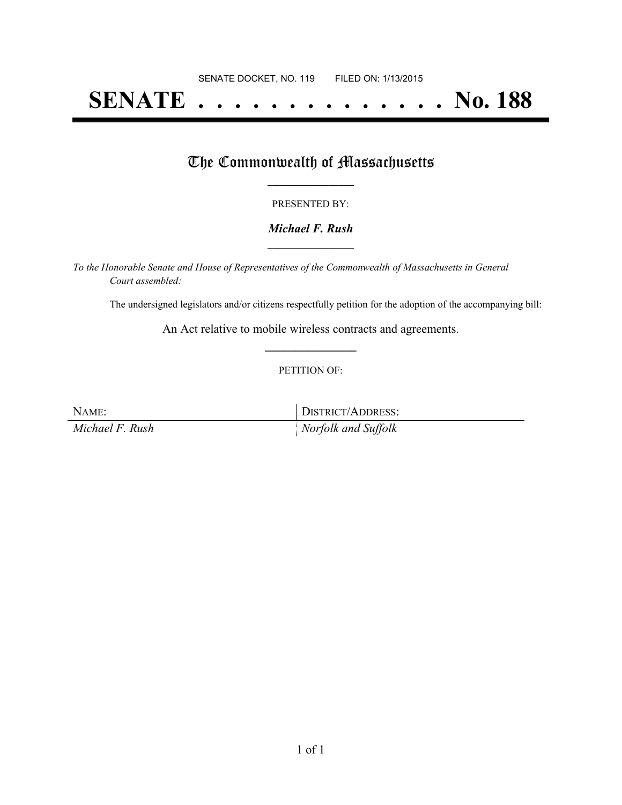# **SENATE . . . . . . . . . . . . . . No. 188**

## The Commonwealth of Massachusetts

#### PRESENTED BY:

#### *Michael F. Rush* **\_\_\_\_\_\_\_\_\_\_\_\_\_\_\_\_\_**

*To the Honorable Senate and House of Representatives of the Commonwealth of Massachusetts in General Court assembled:*

The undersigned legislators and/or citizens respectfully petition for the adoption of the accompanying bill:

An Act relative to mobile wireless contracts and agreements. **\_\_\_\_\_\_\_\_\_\_\_\_\_\_\_**

#### PETITION OF:

NAME: DISTRICT/ADDRESS:

*Michael F. Rush Norfolk and Suffolk*